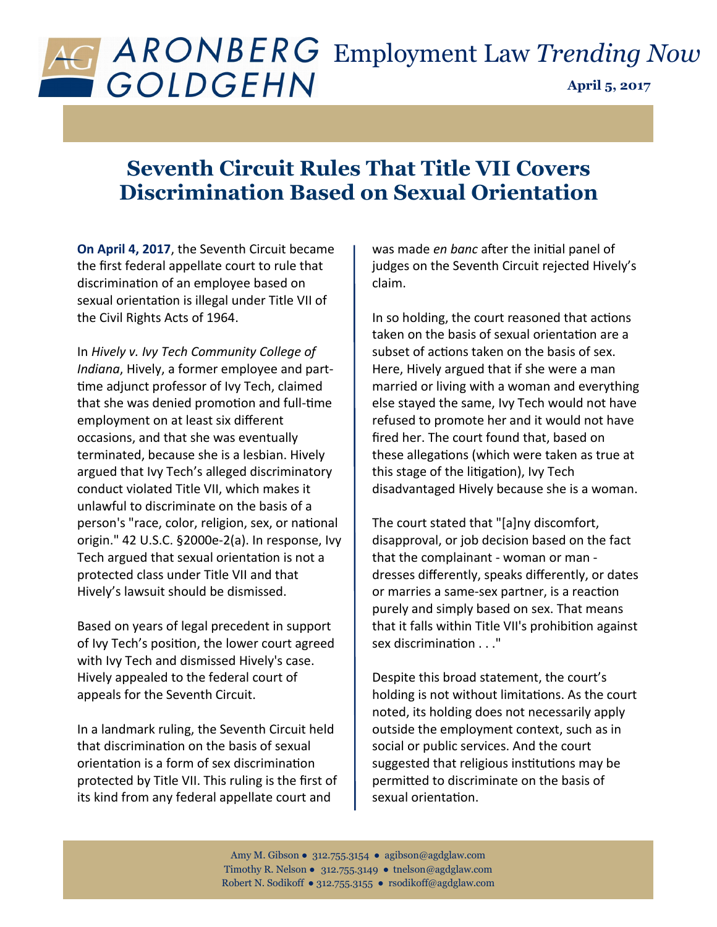## **April 5, 2017** Employment Law *Trending Now*

## **Seventh Circuit Rules That Title VII Covers Discrimination Based on Sexual Orientation**

**On April 4, 2017**, the Seventh Circuit became the first federal appellate court to rule that discrimination of an employee based on sexual orientation is illegal under Title VII of the Civil Rights Acts of 1964.

In *Hively v. Ivy Tech Community College of Indiana*, Hively, a former employee and parttime adjunct professor of Ivy Tech, claimed that she was denied promotion and full-time employment on at least six different occasions, and that she was eventually terminated, because she is a lesbian. Hively argued that Ivy Tech's alleged discriminatory conduct violated Title VII, which makes it unlawful to discriminate on the basis of a person's "race, color, religion, sex, or national origin." 42 U.S.C. §2000e-2(a). In response, Ivy Tech argued that sexual orientation is not a protected class under Title VII and that Hively's lawsuit should be dismissed.

Based on years of legal precedent in support of Ivy Tech's position, the lower court agreed with Ivy Tech and dismissed Hively's case. Hively appealed to the federal court of appeals for the Seventh Circuit.

In a landmark ruling, the Seventh Circuit held that discrimination on the basis of sexual orientation is a form of sex discrimination protected by Title VII. This ruling is the first of its kind from any federal appellate court and

was made *en banc* after the initial panel of judges on the Seventh Circuit rejected Hively's claim.

In so holding, the court reasoned that actions taken on the basis of sexual orientation are a subset of actions taken on the basis of sex. Here, Hively argued that if she were a man married or living with a woman and everything else stayed the same, Ivy Tech would not have refused to promote her and it would not have fired her. The court found that, based on these allegations (which were taken as true at this stage of the litigation), Ivy Tech disadvantaged Hively because she is a woman.

The court stated that "[a]ny discomfort, disapproval, or job decision based on the fact that the complainant - woman or man dresses differently, speaks differently, or dates or marries a same-sex partner, is a reaction purely and simply based on sex. That means that it falls within Title VII's prohibition against sex discrimination . . ."

Despite this broad statement, the court's holding is not without limitations. As the court noted, its holding does not necessarily apply outside the employment context, such as in social or public services. And the court suggested that religious institutions may be permitted to discriminate on the basis of sexual orientation.

Amy M. Gibson ● 312.755.3154 ● agibson@agdglaw.com Timothy R. Nelson ● 312.755.3149 ● tnelson*@*agdglaw.com Robert N. Sodikoff ● 312.755.3155 ● rsodikoff@agdglaw.com